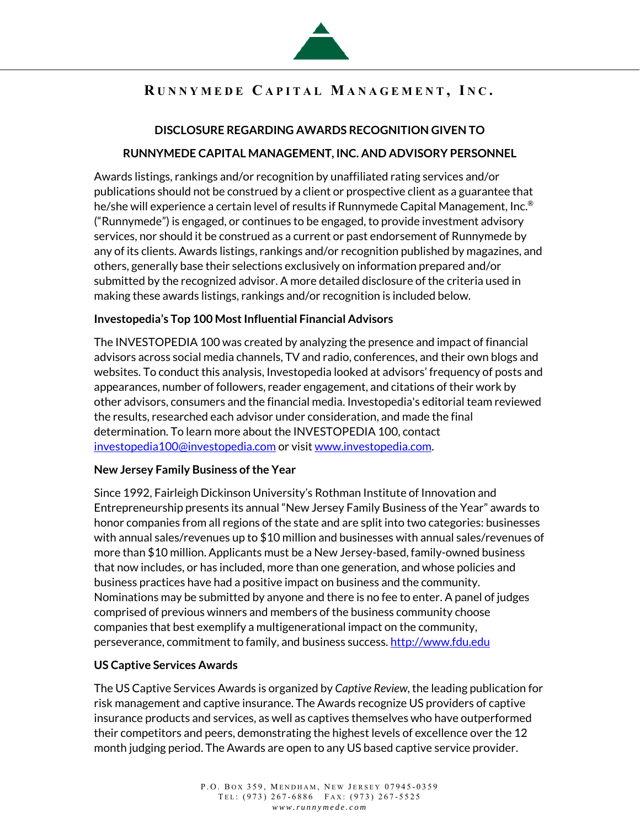

# **R UNNYMEDE C APITAL M ANAGEMENT , I N C .**

### **DISCLOSURE REGARDING AWARDS RECOGNITION GIVEN TO**

#### **RUNNYMEDE CAPITAL MANAGEMENT, INC. AND ADVISORY PERSONNEL**

Awards listings, rankings and/or recognition by unaffiliated rating services and/or publications should not be construed by a client or prospective client as a guarantee that he/she will experience a certain level of results if Runnymede Capital Management, Inc.® ("Runnymede") is engaged, or continues to be engaged, to provide investment advisory services, nor should it be construed as a current or past endorsement of Runnymede by any of its clients. Awards listings, rankings and/or recognition published by magazines, and others, generally base their selections exclusively on information prepared and/or submitted by the recognized advisor. A more detailed disclosure of the criteria used in making these awards listings, rankings and/or recognition is included below.

#### **Investopedia's Top 100 Most Influential Financial Advisors**

The INVESTOPEDIA 100 was created by analyzing the presence and impact of financial advisors across social media channels, TV and radio, conferences, and their own blogs and websites. To conduct this analysis, Investopedia looked at advisors' frequency of posts and appearances, number of followers, reader engagement, and citations of their work by other advisors, consumers and the financial media. Investopedia's editorial team reviewed the results, researched each advisor under consideration, and made the final determination. To learn more about the INVESTOPEDIA 100, contact investopedia100@investopedia.com or visit www.investopedia.com.

#### **New Jersey Family Business of the Year**

Since 1992, Fairleigh Dickinson University's Rothman Institute of Innovation and Entrepreneurship presents its annual "New Jersey Family Business of the Year" awards to honor companies from all regions of the state and are split into two categories: businesses with annual sales/revenues up to \$10 million and businesses with annual sales/revenues of more than \$10 million. Applicants must be a New Jersey-based, family-owned business that now includes, or has included, more than one generation, and whose policies and business practices have had a positive impact on business and the community. Nominations may be submitted by anyone and there is no fee to enter. A panel of judges comprised of previous winners and members of the business community choose companies that best exemplify a multigenerational impact on the community, perseverance, commitment to family, and business success. http://www.fdu.edu

#### **US Captive Services Awards**

The US Captive Services Awards is organized by *Captive Review*, the leading publication for risk management and captive insurance. The Awards recognize US providers of captive insurance products and services, as well as captives themselves who have outperformed their competitors and peers, demonstrating the highest levels of excellence over the 12 month judging period. The Awards are open to any US based captive service provider.